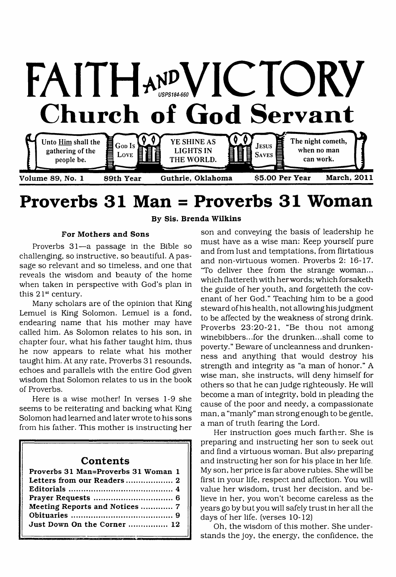

# **Proverbs 31 Man = Proverbs 31 Woman**

**By Sis. Brenda Wilkins**

#### **For Mothers and Sons**

Proverbs 31—a passage in the Bible so challenging, so instructive, so beautiful. A passage so relevant and so timeless, and one that reveals the wisdom and beauty of the home when taken in perspective with God's plan in this 21st century.

Many scholars are of the opinion that King Lemuel is King Solomon. Lemuel is a fond, endearing name that his mother may have called him. As Solomon relates to his son, in chapter four, what his father taught him, thus he now appears to relate what his mother taught him. At any rate, Proverbs 31 resounds, echoes and parallels with the entire God given wisdom that Solomon relates to us in the book of Proverbs.

Here is a wise mother! In verses 1-9 she seems to be reiterating and backing what King Solomon had learned and later wrote to his sons from his father. This mother is instructing her

## **Contents**

| Proverbs 31 Man=Proverbs 31 Woman 1 |
|-------------------------------------|
|                                     |
|                                     |
|                                     |
| Meeting Reports and Notices  7      |
|                                     |
| Just Down On the Corner  12         |
|                                     |

son and conveying the basis of leadership he must have as a wise man: Keep yourself pure and from lust and temptations, from flirtatious and non-virtuous women. Proverbs 2: 16-17. 'To deliver thee from the strange woman... which flattereth with her words; which forsaketh the guide of her youth, and forgetteth the covenant of her God." Teaching him to be a good steward of his health, not allowing his judgment to be affected by the weakness of strong drink. Proverbs 23:20-21, "Be thou not among winebibbers...for the drunken...shall come to poverty." Beware of uncleanness and drunkenness and anything that would destroy his strength and integrity as "a man of honor." A wise man, she instructs, will deny himself for others so that he can judge righteously. He will become a man of integrity, bold in pleading the cause of the poor and needy, a compassionate man, a "manly" man strong enough to be gentle, a man of truth fearing the Lord.

Her instruction goes much farther. She is preparing and instructing her son to seek out and find a virtuous woman. But also preparing and instructing her son for his place in her life. My son, her price is far above rubies. She will be first in your life, respect and affection. You will value her wisdom, trust her decision, and believe in her, you won't become careless as the years go by but you will safely trust in her all the days of her life, (verses 10-12)

Oh, the wisdom of this mother. She understands the joy, the energy, the confidence, the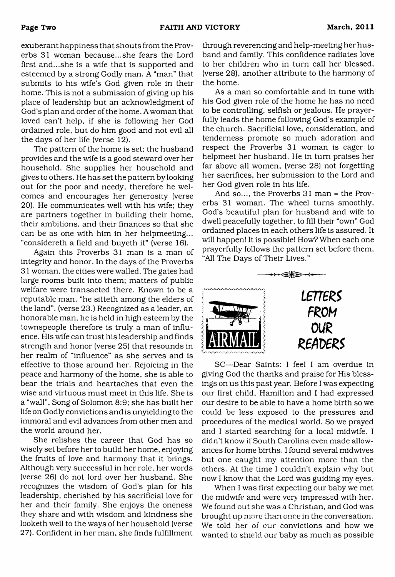exuberant happiness that shouts from the Proverbs 31 woman because...she fears the Lord first and...she is a wife that is supported and esteemed by a strong Godly man. A "man" that submits to his wife's God given role in their home. This is not a submission of giving up his place of leadership but an acknowledgment of God's plan and order of the home. A woman that loved can't help, if she is following her God ordained role, but do him good and not evil all the days of her life (verse 12).

The pattern of the home is set; the husband provides and the wife is a good steward over her household. She supplies her household and gives to others. He has set the pattern by looking out for the poor and needy, therefore he welcomes and encourages her generosity (verse 20). He communicates well with his wife; they are partners together in building their home, their ambitions, and their finances so that she can be as one with him in her helpmeeting... "considereth a field and buyeth it" (verse 16).

Again this Proverbs 31 man is a man of integrity and honor. In the days of the Proverbs 31 woman, the cities were walled. The gates had large rooms built into them; matters of public welfare were transacted there. Known to be a reputable man, "he sitteth among the elders of the land", (verse 23.) Recognized as a leader, an honorable man, he is held in high esteem by the townspeople therefore is truly a man of influence. His wife can trust his leadership and finds strength and honor (verse 25) that resounds in her realm of "influence" as she serves and is effective to those around her. Rejoicing in the peace and harmony of the home, she is able to bear the trials and heartaches that even the wise and virtuous must meet in this life. She is a "wall", Song of Solomon 8:9; she has built her life on Godly convictions and is unyielding to the immoral and evil advances from other men and the world around her.

She relishes the career that God has so wisely set before her to build her home, enjoying the fruits of love and harmony that it brings. Although very successful in her role, her words (verse 26) do not lord over her husband. She recognizes the wisdom of God's plan for his leadership, cherished by his sacrificial love for her and their family. She enjoys the oneness they share and with wisdom and kindness she looketh well to the ways of her household (verse 27). Confident in her man, she finds fulfillment

through reverencing and help-meeting her husband and family. This confidence radiates love to her children who in turn call her blessed, (verse 28), another attribute to the harmony of the home.

As a man so comfortable and in tune with his God given role of the home he has no need to be controlling, selfish or jealous. He prayerfully leads the home following God's example of the church. Sacrificial love, consideration, and tenderness promote so much adoration and respect the Proverbs 31 woman is eager to helpmeet her husband. He in turn praises her far above all women, (verse 28) not forgetting her sacrifices, her submission to the Lord and her God given role in his life.

And so..., the Proverbs 31 man = the Proverbs 31 woman. The wheel turns smoothly. God's beautiful plan for husband and wife to dwell peacefully together, to fill their "own" God ordained places in each others life is assured. It will happen! It is possible! How? When each one prayerfully follows the pattern set before them, and a places in each others lift<br>ordained places in each others lift<br>will happen! It is possible! How?<br>"Prayerfully follows the pattern set"<br>"All The Days of Their Lives."



SC—Dear Saints: I feel I am overdue in giving God the thanks and praise for His blessings on us this past year. Before I was expecting our first child, Hamilton and I had expressed our desire to be able to have a home birth so we could be less exposed to the pressures and procedures of the medical world. So we prayed and I started searching for a local midwife. I didn't know if South Carolina even made allowances for home births. I found several midwives but one caught my attention more than the others. At the time I couldn't explain why but now I know that the Lord was guiding my eyes.

When I was first expecting our baby we met the midwife and were very impressed with her. We found out she was a Christian, and God was brought up more than once in the conversation. We told her of our convictions and how we wanted to shield our baby as much as possible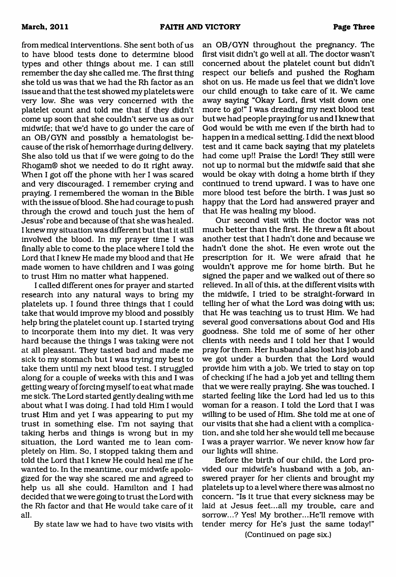from medical interventions. She sent both of us to have blood tests done to determine blood types and other things about me. I can still remember the day she called me. The first thing she told us was that we had the Rh factor as an issue and that the test showed my platelets were very low. She was very concerned with the platelet count and told me that if they didn't come up soon that she couldn't serve us as our midwife; that we'd have to go under the care of an OB/GYN and possibly a hematologist because of the risk of hemorrhage during delivery. She also told us that if we were going to do the Rhogam® shot we needed to do it right away. When I got off the phone with her I was scared and very discouraged. I remember crying and praying. I remembered the woman in the Bible with the issue of blood. She had courage to push through the crowd and touch just the hem of Jesus' robe and because of that she was healed. I knew my situation was different but that it still involved the blood. In my prayer time I was finally able to come to the place where I told the Lord that I knew He made my blood and that He made women to have children and I was going to trust Him no matter what happened.

I called different ones for prayer and started research into any natural ways to bring my platelets up. I found three things that I could take that would improve my blood and possibly help bring the platelet count up. I started trying to incorporate them into my diet. It was very hard because the things I was taking were not at all pleasant. They tasted bad and made me sick to my stomach but I was trying my best to take them until my next blood test. I struggled along for a couple of weeks with this and I was getting weary of forcing myself to eat what made me sick. The Lord started gently dealing with me about what I was doing. I had told Him I would trust Him and yet I was appearing to put my trust in something else. I'm not saying that taking herbs and things is wrong but in my situation, the Lord wanted me to lean completely on Him. So, I stopped taking them and told the Lord that I knew He could heal me if he wanted to. In the meantime, our midwife apologized for the way she scared me and agreed to help us all she could. Hamilton and I had decided that we were going to trust the Lord with the Rh factor and that He would take care of it all.

By state law we had to have two visits with

an OB/GYN throughout the pregnancy. The first visit didn't go well at all. The doctor wasn't concerned about the platelet count but didn't respect our beliefs and pushed the Rogham shot on us. He made us feel that we didn't love our child enough to take care of it. We came away saying "Okay Lord, first visit down one more to go!" I was dreading my next blood test but we had people praying for us and I knew that God would be with me even if the birth had to happen in a medical setting. I did the next blood test and it came back saying that my platelets had come up!! Praise the Lord! They still were not up to normal but the midwife said that she would be okay with doing a home birth if they continued to trend upward. I was to have one more blood test before the birth. I was just so happy that the Lord had answered prayer and that He was healing my blood.

Our second visit with the doctor was not much better than the first. He threw a fit about another test that I hadn't done and because we hadn't done the shot. He even wrote out the prescription for it. We were afraid that he wouldn't approve me for home birth. But he signed the paper and we walked out of there so relieved. In all of this, at the different visits with the midwife, I tried to be straight-forward in telling her of what the Lord was doing with us; that He was teaching us to trust Him. We had several good conversations about God and His goodness. She told me of some of her other clients with needs and I told her that I would pray for them. Her husband also lost his job and we got under a burden that the Lord would provide him with a job. We tried to stay on top of checking if he had a job yet and telling them that we were really praying. She was touched. I started feeling like the Lord had led us to this woman for a reason. I told the Lord that I was willing to be used of Him. She told me at one of our visits that she had a client with a complication, and she told her she would tell me because I was a prayer warrior. We never know how far our lights will shine.

Before the birth of our child, the Lord provided our midwife's husband with a job, answered prayer for her clients and brought my platelets up to a level where there was almost no concern. "Is it true that every sickness may be laid at Jesus feet...all my trouble, care and sorrow...? Yes! My brother...He'll remove with tender mercy for He's just the same today!"

(Continued on page six.)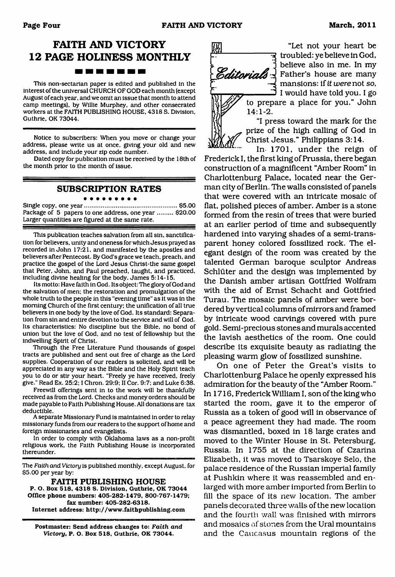## **FAITH AND VICTORY 12 PAGE HOLINESS MONTHLY**

. . . . . .

This non-sectarian paper is edited and published in the interest of the universal CHURCH OF GOD each month (except August of each year, and we omit an issue that month to attend camp meetings), by Willie Murphey, and other consecrated workers at the FAITH PUBLISHING HOUSE. 4318 S. Division, Guthrie. OK 73044.

Notice to subscribers: When you move or change your address, please write us at once, giving your old and new address, and include your zip code number.

Dated copy for publication must be received by the 18th of the month prior to the month of issue.

## **SUBSCRIPTION RATES**

. . . . . . . . . Single copy, one year......................................................\$5.00 Package of 5 papers to one address, one year ......... \$20.00 Larger quantities are figured at the same rate.

This publication teaches salvation from all sin, sanctification for believers, unity and oneness for which Jesus prayed as recorded in John 17:21, and manifested by the apostles and believers after Pentecost. By God's grace we teach, preach, and practice the gospel of the Lord Jesus Christ-the same gospel that Peter, John, and Paul preached, taught, and practiced, including divine healing for the body. James 5:14-15.

Its motto: Have faith in God. Its object: The glory of God and the salvation of men; the restoration and promulgation of the whole truth to the people in this "evening time" as it was in the morning Church of the first century; the unification of all true believers in one body by the love of God. Its standard: Separation from sin and entire devotion to the service and will of God. Its characteristics: No discipline but the Bible, no bond of union but the love of God, and no test of fellowship but the indwelling Spirit of Christ.

Through the Free Literature Fund thousands of gospel tracts are published and sent out free of charge as the Lord supplies. Cooperation of our readers is solicited, and will be appreciated in any way as the Bible and the Holy Spirit teach you to do or stir your heart. "Freely ye have received, freely give." Read Ex. 25:2; I Chron. 29:9; II Cor. 9:7; and Luke 6:38.

Freewill offerings sent in to the work will be thankfully received as from the Lord. Checks and money orders should be made payable to Faith Publishing House. All donations are tax deductible.

A separate Missionary Fund is maintained in order to relay missionary funds from our readers to the support of home and foreign missionaries and evangelists.

In order to comply with Oklahoma laws as a non-profit religious work, the Faith Publishing House is incorporated thereunder.

The *Faith and Victory* is published monthly, except August, for \$5.00 per year by:

**FAITH PUBLISHING HOUSE**

**P. O. Box 518. 4318 S. Division, Guthrie, OK 73044 Office phone numbers: 405-282-1479, 800-767-1479; fax number: 405-282-6318. Internet address: <http://www.faithpublishing.com>**

**Postmaster: Send address changes to:** *Faith and Victory,* **P. O. Box 518, Guthrie, OK 73044.**

**1** 14:1-2.

"Let not your heart be न्न) troubled: ye believe in God,  $\mathcal{E}$  ditorials  $\frac{1}{2}$  Father's house are many Father's house are many mansions: if *it were* not *so,* I would have told you. I go



"I press toward the mark for the prize of the high calling of God in Christ Jesus." Philippians 3:14.

In 1701, under the reign of Frederick I, the first king of Prussia, there began construction of a magnificent "Amber Room" in Charlottenburg Palace, located near the German city of Berlin. The walls consisted of panels that were covered with an intricate mosaic of flat, polished pieces of amber. Amber is a stone formed from the resin of trees that were buried at an earlier period of time and subsequently hardened into varying shades of a semi-transparent honey colored fossilized rock. The elegant design of the room was created by the talented German baroque sculptor Andreas Schlüter and the design was implemented by the Danish amber artisan Gottfried Wolfram with the aid of Ernst Schacht and Gottfried Turau. The mosaic panels of amber were bordered by vertical columns of mirrors and framed by intricate wood carvings covered with pure gold. Semi-precious stones and murals accented the lavish aesthetics of the room. One could describe its exquisite beauty as radiating the pleasing warm glow of fossilized sunshine.

On one of Peter the Great's visits to Charlottenburg Palace he openly expressed his admiration for the beauty of the "Amber Room." In 1716, Frederick William I, son of the king who started the room, gave it to the emperor of Russia as a token of good will in observance of a peace agreement they had made. The room was dismantled, boxed in 18 large crates and moved to the Winter House in St. Petersburg, Russia. In 1755 at the direction of Czarina Elizabeth, it was moved to Tsarskoye Selo, the palace residence of the Russian imperial family at Pushkin where it was reassembled and enlarged with more amber imported from Berlin to fill the space of its new location. The amber panels decorated three walls of the new location and the fourth wall was finished with mirrors and mosaics of stones from the Ural mountains and the Caucasus mountain regions of the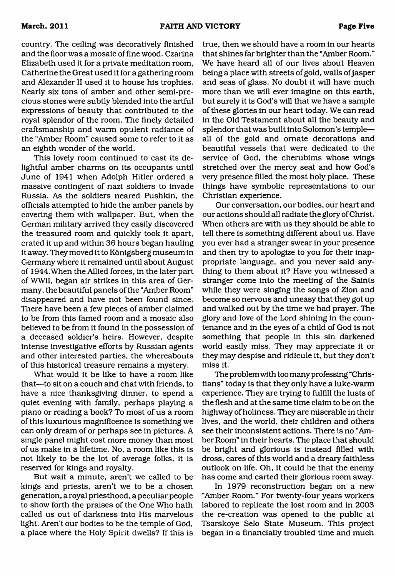country. The ceiling was decoratively finished and the floor was a mosaic of fine wood. Czarina Elizabeth used it for a private meditation room, Catherine the Great used it for a gathering room and Alexander II used it to house his trophies. Nearly six tons of amber and other semi-precious stones were subtly blended into the artful expressions of beauty that contributed to the royal splendor of the room. The finely detailed craftsmanship and warm opulent radiance of the "Amber Room" caused some to refer to it as an eighth wonder of the world.

This lovely room continued to cast its delightful amber charms on its occupants until June of 1941 when Adolph Hitler ordered a massive contingent of nazi soldiers to invade Russia. As the soldiers neared Pushkin, the officials attempted to hide the amber panels by covering them with wallpaper. But, when the German military arrived they easily discovered the treasured room and quickly took it apart, crated it up and within 36 hours began hauling it away. They moved it to Königsberg museum in Germany where it remained until about August of 1944.When the Allied forces, in the later part of WWII, began air strikes in this area of Germany, the beautiful panels of the "Amber Room" disappeared and have not been found since. There have been a few pieces of amber claimed to be from this famed room and a mosaic also believed to be from it found in the possession of a deceased soldier's heirs. However, despite intense investigative efforts by Russian agents and other interested parties, the whereabouts of this historical treasure remains a mystery.

What would it be like to have a room like that—to sit on a couch and chat with friends, to have a nice thanksgiving dinner, to spend a quiet evening with family, perhaps playing a piano or reading a book? To most of us a room of this luxurious magnificence is something we can only dream of or perhaps see in pictures. A single panel might cost more money than most of us make in a lifetime. No, a room like this is not likely to be the lot of average folks, it is reserved for kings and royalty.

But wait a minute, aren't we called to be kings and priests, aren't we to be a chosen generation, a royal priesthood, a peculiar people to show forth the praises of the One Who hath called us out of darkness into His marvelous light. Aren't our bodies to be the temple of God, a place where the Holy Spirit dwells? If this is

true, then we should have a room in our hearts that shines far brighter than the "Amber Room." We have heard all of our lives about Heaven being a place with streets of gold, walls of jasper and seas of glass. No doubt it will have much more than we will ever imagine on this earth, but surely it is God's will that we have a sample of these glories in our heart today. We can read in the Old Testament about all the beauty and splendor that was built into Solomon's temple all of the gold and ornate decorations and beautiful vessels that were dedicated to the service of God, the cherubims whose wings stretched over the mercy seat and how God's very presence filled the most holy place. These things have symbolic representations to our Christian experience.

Our conversation, our bodies, our heart and our actions should all radiate the glory of Christ. When others are with us they should be able to tell there is something different about us. Have you ever had a stranger swear in your presence and then try to apologize to you for their inappropriate language, and you never said anything to them about it? Have you witnessed a stranger come into the meeting of the Saints while they were singing the songs of Zion and become so nervous and uneasy that they got up and walked out by the time we had prayer. The glory and love of the Lord shining in the countenance and in the eyes of a child of God is not something that people in this sin darkened world easily miss. They may appreciate it or they may despise and ridicule it, but they don't miss it.

The problem with too many professing "Christians" today is that they only have a luke-warm experience. They are trying to fulfill the lusts of the flesh and at the same time claim to be on the highway of holiness. They are miserable in their lives, and the world, their children and others see their inconsistent actions. There is no "Amber Room" in their hearts. The place that should be bright and glorious is instead filled with dross, cares of this world and a dreary faithless outlook on life. Oh, it could be that the enemy has come and carted their glorious room away.

In 1979 reconstruction began on a new "Amber Room." For twenty-four years workers labored to replicate the lost room and in 2003 the re-creation was opened to the public at Tsarskoye Selo State Museum. This project began in a financially troubled time and much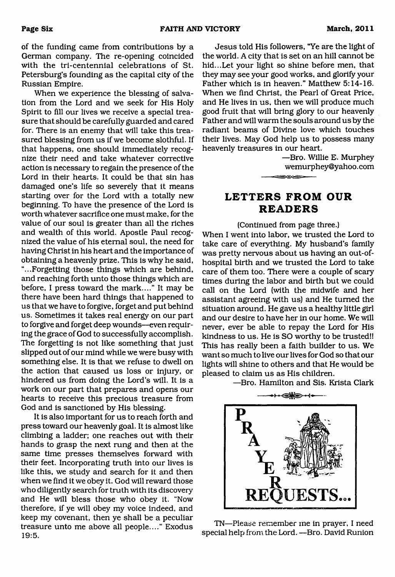of the funding came from contributions by a German company. The re-opening coincided with the tri-centennial celebrations of St. Petersburg's founding as the capital city of the Russian Empire.

When we experience the blessing of salvation from the Lord and we seek for His Holy Spirit to fill our lives we receive a special treasure that should be carefully guarded and cared for. There is an enemy that will take this treasured blessing from us if we become slothful. If that happens, one should immediately recognize their need and take whatever corrective action is necessary to regain the presence of the Lord in their hearts. It could be that sin has damaged one's life so severely that it means starting over for the Lord with a totally new beginning. To have the presence of the Lord is worth whatever sacrifice one must make, for the value of our soul is greater than all the riches and wealth of this world. Apostle Paul recognized the value of his eternal soul, the need for having Christ in his heart and the importance of obtaining a heavenly prize. This is why he said, "...Forgetting those things which are behind, and reaching forth unto those things which are before, I press toward the mark...." It may be there have been hard things that happened to us that we have to forgive, forget and put behind us. Sometimes it takes real energy on our part to forgive and forget deep wounds—even requiring the grace of God to successfully accomplish. The forgetting is not like something that just slipped out of our mind while we were busy with something else. It is that we refuse to dwell on the action that caused us loss or injury, or hindered us from doing the Lord's will. It is a work on our part that prepares and opens our hearts to receive this precious treasure from God and is sanctioned by His blessing.

It is also important for us to reach forth and press toward our heavenly goal. It is almost like climbing a ladder; one reaches out with their hands to grasp the next rung and then at the same time presses themselves forward with their feet. Incorporating truth into our lives is like this, we study and search for it and then when we find it we obey it. God will reward those who diligently search for truth with its discovery and He will bless those who obey it. "Now therefore, if ye will obey my voice indeed, and keep my covenant, then ye shall be a peculiar treasure unto me above all people...." Exodus 19:5.

Jesus told His followers, "Ye are the light of the world. A city that is set on an hill cannot be hid...Let your light so shine before men, that they may see your good works, and glorify your Father which is in heaven." Matthew 5:14-16. When we find Christ, the Pearl of Great Price, and He lives in us, then we will produce much good fruit that will bring glory to our heavenly Father and will warm the souls around us by the radiant beams of Divine love which touches their lives. May God help us to possess many heavenly treasures in our heart.

> —Bro. Willie E. Murphey [wemurphey@yahoo.com](mailto:wemurphey@yahoo.com) ਵ≕⊛⊶

## <span id="page-5-0"></span>**LETTERS FROM OUR READERS**

(Continued from page three.) When I went into labor, we trusted the Lord to take care of everything. My husband's family was pretty nervous about us having an out-ofhospital birth and we trusted the Lord to take care of them too. There were a couple of scary times during the labor and birth but we could call on the Lord (with the midwife and her assistant agreeing with us) and He turned the situation around. He gave us a healthy little girl and our desire to have her in our home. We will never, ever be able to repay the Lord for His kindness to us. He is SO worthy to be trusted!! This has really been a faith builder to us. We want so much to live our lives for God so that our lights will shine to others and that He would be pleased to claim us as His children.

—Bro. Hamilton and Sis. Krista Clark



TN—Please remember me in prayer, I need special help from the Lord. —Bro. David Runion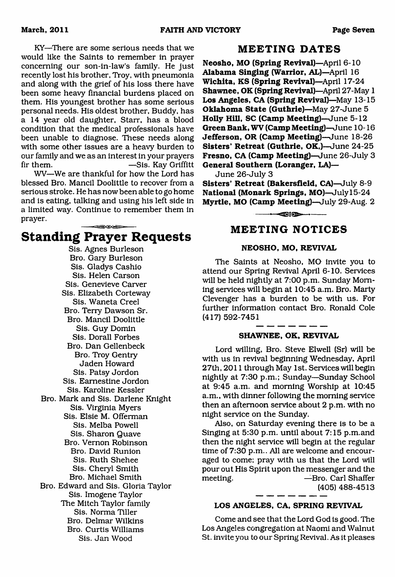KY—There are some serious needs that we would like the Saints to remember in prayer concerning our son-in-law's family. He just recently lost his brother, Troy, with pneumonia and along with the grief of his loss there have been some heavy financial burdens placed on them. His youngest brother has some serious personal needs. His oldest brother, Buddy, has a 14 year old daughter, Starr, has a blood condition that the medical professionals have been unable to diagnose. These needs along with some other issues are a heavy burden to our family and we as an interest in your prayers fir them. —Sis. Kay Griffitt

WV—We are thankful for how the Lord has blessed Bro. Mancil Doolittle to recover from a serious stroke. He has now been able to go home and is eating, talking and using his left side in a limited way. Continue to remember them in prayer. 

## **Standing Prayer Requests**

Sis. Agnes Burleson Bro. Gary Burleson Sis. Gladys Cashio Sis. Helen Carson Sis. Genevieve Carver Sis. Elizabeth Corteway Sis. Waneta Creel Bro. Terry Dawson Sr. Bro. Mancil Doolittle Sis. Guy Domin Sis. Dorall Forbes Bro. Dan Gellenbeck Bro. Troy Gentry Jaden Howard Sis. Patsy Jordon Sis. Eamestine Jordon Sis. Karoline Kessler Bro. Mark and Sis. Darlene Knight Sis. Virginia Myers Sis. Elsie M. Offerman Sis. Melba Powell Sis. Sharon Quave Bro. Vernon Robinson Bro. David Runion Sis. Ruth Shehee Sis. Cheryl Smith Bro. Michael Smith Bro. Edward and Sis. Gloria Taylor Sis. Imogene Taylor The Mitch Taylor family Sis. Norma Tiller Bro. Delmar Wilkins Bro. Curtis Williams Sis. Jan Wood

## **MEETING DATES**

**Neosho, MO (Spring Revival)**—April 6-10 **Alabama Singing (Warrior, AL)**—April 16 **Wichita, KS (Spring Revival)**—April 17-24 **Shawnee, OK (Spring Revival)—**April 27-May 1 **Los Angeles, CA (Spring Revival)**—May 13-15 **Oklahoma State (Guthrie)**—May 27-June 5 **Holly Hill, SC (Camp Meeting)**—June 5-12 **Green Bank, WV (Camp Meeting)—**June 10-16 **Jefferson, OR (Camp Meeting)**—June 18-26 **Sisters' Retreat (Guthrie, OK,)**—June 24-25 **Fresno, CA (Camp Meeting)**—June 26-July 3 **General Southern (Loranger, LA)—**

June 26-July 3

**Sisters' Retreat (Bakersfield, CA)**—July 8-9 **National (Monark Springs, MO)—**July 15-24 **Myrtle, MO (Camp Meeting)**—July 29-Aug. 2

 $-$ -- $-$ 

## **MEETING NOTICES**

#### **NEOSHO, MO, REVIVAL**

The Saints at Neosho, MO invite you to attend our Spring Revival April 6-10. Services will be held nightly at 7:00 p.m. Sunday Morning services will begin at 10:45 a.m. Bro. Marty Clevenger has a burden to be with us. For further information contact Bro. Ronald Cole (417) 592-7451

## **SHAWNEE, OK, REVIVAL**

Lord willing, Bro. Steve Elwell (Sr) will be with us in revival beginning Wednesday, April 27th, 2011 through May 1st. Services will begin nightly at 7:30 p.m.; Sunday—Sunday School at 9:45 a.m. and morning Worship at 10:45 a.m., with dinner following the morning service then an afternoon service about 2 p.m. with no night service on the Sunday.

Also, on Saturday evening there is to be a Singing at 5:30 p.m. until about 7:15 p.m.and then the night service will begin at the regular time of 7:30 p.m.. All are welcome and encouraged to come; pray with us that the Lord will pour out His Spirit upon the messenger and the meeting. — — — — — Bro. Carl Shaffer (405) 488-4513

#### **LOS ANGELES, CA, SPRING REVIVAL**

Come and see that the Lord God is good. The Los Angeles congregation at Naomi and Walnut St. invite you to our Spring Revival. As it pleases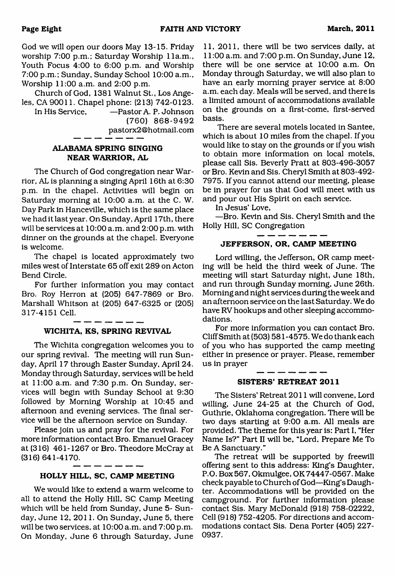God we will open our doors May 13-15. Friday worship 7:00 p.m.; Saturday Worship 11a.m., Youth Focus 4:00 to 6:00 p.m. and Worship 7:00 p.m.; Sunday, Sunday School 10:00 a.m.. Worship 11:00 a.m. and 2:00 p.m.

Church of God, 1381 Walnut St., Los Angeles, CA 90011. Chapel phone: (213) 742-0123.

In His Service, —Pastor A. P. Johnson (760) 868-9492 [pastorx2@hotmail.com](mailto:pastorx2@hotmail.com)

## **ALABAMA SPRING SINGING NEAR WARRIOR, AL**

The Church of God congregation near Warrior, AL is planning a singing April 16th at 6:30 p.m. in the chapel. Activities will begin on Saturday morning at 10:00 a.m. at the C. W. Day Park in Hanceville, which is the same place we had it last year. On Sunday, April 17th, there will be services at 10:00 a.m. and 2:00 p.m. with dinner on the grounds at the chapel. Everyone is welcome.

The chapel is located approximately two miles west of Interstate 65 off exit 289 on Acton Bend Circle.

For further information you may contact Bro. Roy Herron at (205) 647-7869 or Bro. Marshall Whitson at (205) 647-6325 or (205) 317-4151 Cell.

## **WICHITA, KS, SPRING REVIVAL**

The Wichita congregation welcomes you to our spring revival. The meeting will run Sunday, April 17 through Easter Sunday, April 24. Monday through Saturday, services will be held at 11:00 a.m. and 7:30 p.m. On Sunday, services will begin with Sunday School at 9:30 followed by Morning Worship at 10:45 and afternoon and evening services. The final service will be the afternoon service on Sunday.

Please join us and pray for the revival. For more information contact Bro. Emanuel Gracey at (316) 461-1267 or Bro. Theodore McCray at (316) 641-4170.

## **HOLLY HILL, SC, CAMP MEETING**

. — — — — -

We would like to extend a warm welcome to all to attend the Holly Hill, SC Camp Meeting which will be held from Sunday, June 5- Sunday, June 12, 2011. On Sunday, June 5, there will be two services, at 10:00 a.m. and 7:00 p.m. On Monday, June 6 through Saturday, June

11, 2011, there will be two services daily, at 11:00 a.m. and 7:00 p.m. On Sunday, June 12, there will be one service at 10:00 a.m. On Monday through Saturday, we will also plan to have an early morning prayer service at 8:00 a.m. each day. Meals will be served, and there is a limited amount of accommodations available on the grounds on a first-come, first-served basis.

There are several motels located in Santee, which is about 10 miles from the chapel. If you would like to stay on the grounds or if you wish to obtain more information on local motels, please call Sis. Beverly Pratt at 803-496-3057 or Bro. Kevin and Sis. Cheryl Smith at 803-492- 7975. If you cannot attend our meeting, please be in prayer for us that God will meet with us and pour out His Spirit on each service.

In Jesus' Love,

—Bro. Kevin and Sis. Cheryl Smith and the Holly Hill, SC Congregation

------

## **JEFFERSON, OR, CAMP MEETING**

Lord willing, the Jefferson, OR camp meeting will be held the third week of June. The meeting will start Saturday night, June 18th, and run through Sunday morning, June 26th. Morning and night services during the week and an afternoon service on the last Saturday. We do have RV hookups and other sleeping accommodations.

For more information you can contact Bro. Cliff Smith at (503) 581 -4575. We do thank each of you who has supported the camp meeting either in presence or prayer. Please, remember us in prayer

#### **SISTERS' RETREAT 2011**

The Sisters' Retreat 2011 will convene. Lord willing, June 24-25 at the Church of God, Guthrie, Oklahoma congregation. There will be two days starting at 9:00 a.m. All meals are provided. The theme for this year is: Part I, "Her Name Is?" Part II will be, "Lord, Prepare Me To Be A Sanctuary."

The retreat will be supported by freewill offering sent to this address: King's Daughter, P.O. Box 567, Okmulgee, OK 74447-0567. Make check payable to Church of God—King's Daughter. Accommodations will be provided on the campground. For further information please contact Sis. Mary McDonald (918) 758-02222, Cell (918) 752-4205. For directions and accommodations contact Sis. Dena Porter (405) 227- 0937.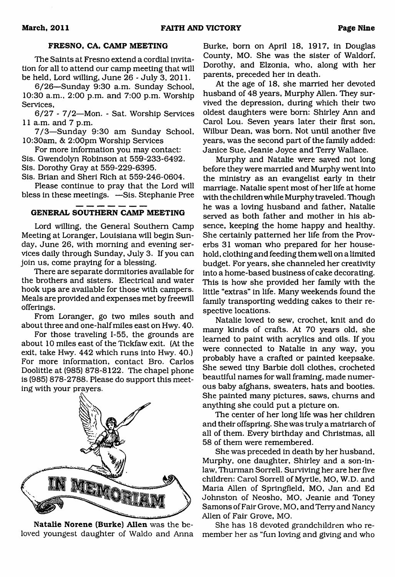#### **FRESNO, CA, CAMP MEETING**

The Saints at Fresno extend a cordial invitation for all to attend our camp meeting that will be held, Lord willing, June 26 - July 3, 2011.

6/26—Sunday 9:30 a.m. Sunday School, 10:30 a.m., 2:00 p.m. and 7:00 p.m. Worship Services,

6/27 - 7/2—Mon. - Sat. Worship Services 11 a.m. and 7 p.m.

7/3—Sunday 9:30 am Sunday School, 10:30am, & 2:00pm Worship Services

For more information you may contact: Sis. Gwendolyn Robinson at 559-233-6492. Sis. Dorothy Gray at 559-229-6395.

Sis. Brian and Sheri Rich at 559-246-0604.

Please continue to pray that the Lord will bless in these meetings. —Sis. Stephanie Pree

### **GENERAL SOUTHERN CAMP MEETING**

Lord willing, the General Southern Camp Meeting at Loranger, Louisiana will begin Sunday, June 26, with morning and evening services daily through Sunday, July 3. If you can join us, come praying for a blessing.

There are separate dormitories available for the brothers and sisters. Electrical and water hook ups are available for those with campers. Meals are provided and expenses met by freewill offerings.

From Loranger, go two miles south and about three and one-half miles east on Hwy. 40.

For those traveling 1-55, the grounds are about 10 miles east of the Tickfaw exit. (At the exit, take Hwy. 442 which runs into Hwy. 40.) For more information, contact Bro. Carlos Doolittle at (985) 878-8122. The chapel phone is (985) 878-2788. Please do support this meeting with your prayers.



**Natalie Norene (Burke) Allen** was the beloved youngest daughter of Waldo and Anna

Burke, born on April 18, 1917, in Douglas County, MO. She was the sister of Waldorf, Dorothy, and Elzonia, who, along with her parents, preceded her in death.

At the age of 18, she married her devoted husband of 48 years, Murphy Allen. They survived the depression, during which their two oldest daughters were bom: Shirley Ann and Carol Lou. Seven years later their first son, Wilbur Dean, was bom. Not until another five years, was the second part of the family added: Janice Sue, Jeanie Joyce and Terry Wallace.

Murphy and Natalie were saved not long before they were married and Murphy went into the ministry as an evangelist early in their marriage. Natalie spent most of her life at home with the children while Murphy traveled. Though he was a loving husband and father, Natalie served as both father and mother in his absence, keeping the home happy and healthy. She certainly patterned her life from the Proverbs 31 woman who prepared for her household, clothing and feeding them well on a limited budget. For years, she channeled her creativity into a home-based business of cake decorating. This is how she provided her family with the little "extras" in life. Many weekends found the family transporting wedding cakes to their respective locations.

Natalie loved to sew, crochet, knit and do many kinds of crafts. At 70 years old, she learned to paint with acrylics and oils. If you were connected to Natalie in any way, you probably have a crafted or painted keepsake. She sewed tiny Barbie doll clothes, crocheted beautiful names for wall framing, made numerous baby afghans, sweaters, hats and booties. She painted many pictures, saws, chums and anything she could put a picture on.

The center of her long life was her children and their offspring. She was truly a matriarch of all of them. Every birthday and Christmas, all 58 of them were remembered.

She was preceded in death by her husband, Murphy, one daughter, Shirley and a son-inlaw, Thurman Sorrell. Surviving her are her five children: Carol Sorrell of Myrtle, MO, W.D. and Maria Allen of Springfield, MO, Jan and Ed Johnston of Neosho, MO, Jeanie and Toney Samons of Fair Grove, MO, and Terry and Nancy Allen of Fair Grove, MO.

She has 18 devoted grandchildren who remember her as "fun loving and giving and who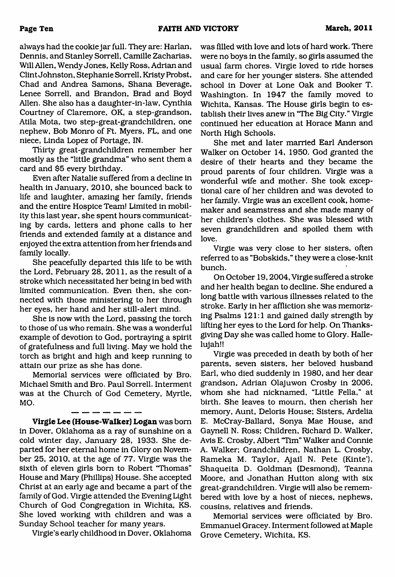always had the cookie jar full. They are: Harlan, Dennis, and Stanley Sorrell, Camille Zacharias, Will Allen, Wendy Jones, Kelly Ross, Adrian and Clint Johnston, Stephanie Sorrell, Kristy Probst, Chad and Andrea Samons, Shana Beverage, Lenee Sorrell, and Brandon, Brad and Boyd Allen. She also has a daughter-in-law, Cynthia Courtney of Claremore, OK, a step-grandson, Atila Mota, two step-great-grandchildren, one nephew. Bob Monro of Ft. Myers, FL, and one niece, Linda Lopez of Portage, IN.

Thirty great-grandchildren remember her mostly as the "little grandma" who sent them a card and \$5 every birthday.

Even after Natalie suffered from a decline in health in January, 2010, she bounced back to life and laughter, amazing her family, friends and the entire Hospice Team! Limited in mobility this last year, she spent hours communicating by cards, letters and phone calls to her friends and extended family at a distance and enjoyed the extra attention from her friends and family locally.

She peacefully departed this life to be with the Lord, February 28, 2011, as the result of a stroke which necessitated her being in bed with limited communication. Even then, she connected with those ministering to her through her eyes, her hand and her still-alert mind.

She is now with the Lord, passing the torch to those of us who remain. She was a wonderful example of devotion to God, portraying a spirit of gratefulness and full living. May we hold the torch as bright and high and keep running to attain our prize as she has done.

Memorial services were officiated by Bro. Michael Smith and Bro. Paul Sorrell. Interment was at the Church of God Cemetery, Myrtle, MO.

**Virgie Lee (House-Walker) Logan** was bom in Dover, Oklahoma as a ray of sunshine on a cold winter day, January 28, 1933. She departed for her eternal home in Glory on November 25, 2010, at the age of 77. Virgie was the sixth of eleven girls born to Robert "Thomas" House and Mary (Phillips) House. She accepted Christ at an early age and became a part of the family of God. Virgie attended the Evening Light Church of God Congregation in Wichita, KS. She loved working with children and was a Sunday School teacher for many years.

Virgie's early childhood in Dover, Oklahoma

was filled with love and lots of hard work. There were no boys in the family, so girls assumed the usual farm chores. Virgie loved to ride horses and care for her younger sisters. She attended school in Dover at Lone Oak and Booker T. Washington. In 1947 the family moved to Wichita, Kansas. The House girls begin to establish their lives anew in "The Big City." Virgie continued her education at Horace Mann and North High Schools.

She met and later married Earl Anderson Walker on October 14, 1950. God granted the desire of their hearts and they became the proud parents of four children. Virgie was a wonderful wife and mother. She took exceptional care of her children and was devoted to her family. Virgie was an excellent cook, homemaker and seamstress and she made many of her children's clothes. She was blessed with seven grandchildren and spoiled them with love.

Virgie was very close to her sisters, often referred to as "Bobskids," they were a close-knit bunch.

On October 19,2004, Virgie suffered a stroke and her health began to decline. She endured a long battle with various illnesses related to the stroke. Early in her affliction she was memorizing Psalms 121:1 and gained daily strength by lifting her eyes to the Lord for help. On Thanksgiving Day she was called home to Glory. Hallelujah!!

Virgie was preceded in death by both of her parents, seven sisters, her beloved husband Earl, who died suddenly in 1980, and her dear grandson, Adrian Olajuwon Crosby in 2006, whom she had nicknamed, "Little Fella," at birth. She leaves to mourn, then cherish her memory, Aunt, Deloris House; Sisters, Ardelia E. McCray-Ballard, Sonya Mae House, and Gaynell N. Ross; Children, Richard D. Walker, Avis E. Crosby, Albert "Tim" Walker and Connie A. Walker; Grandchildren, Nathan L. Crosby, Rameka M. Taylor, Ajail N. Pete (Kinte'), Shaqueita D. Goldman (Desmond), Teanna Moore, and Jonathan Hutton along with six great-grandchildren. Virgie will also be remembered with love by a host of nieces, nephews, cousins, relatives and friends.

Memorial services were officiated by Bro. Emmanuel Gracey. Interment followed at Maple Grove Cemetery, Wichita, KS.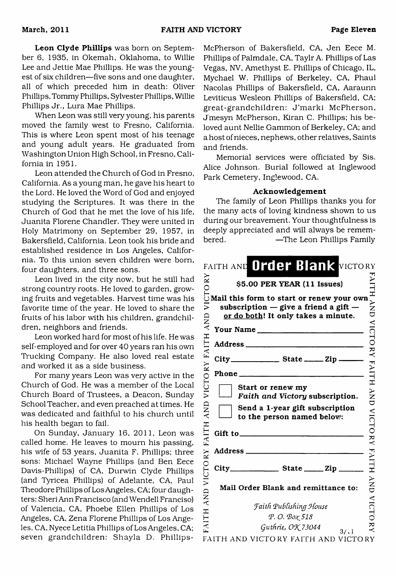**Leon Clyde Phillips** was born on September 6, 1935, in Okemah, Oklahoma, to Willie Lee and Jettie Mae Phillips. He was the youngest of six children—five sons and one daughter, all of which preceded him in death: Oliver Phillips, Tommy Phillips, Sylvester Phillips, Willie Phillips Jr., Lura Mae Phillips.

When Leon was still very young, his parents moved the family west to Fresno, California. This is where Leon spent most of his teenage and young adult years. He graduated from Washington Union High School, in Fresno, California in 1951.

Leon attended the Church of God in Fresno, California. As a young man, he gave his heart to the Lord. He loved the Word of God and enjoyed studying the Scriptures. It was there in the Church of God that he met the love of his life, Juanita Florene Chandler. They were united in Holy Matrimony on September 29, 1957, in Bakersfield, California. Leon took his bride and established residence in Los Angeles, California. To this union seven children were bom, four daughters, and three sons.

Leon lived in the city now, but he still had strong country roots. He loved to garden, growing fruits and vegetables. Harvest time was his favorite time of the year. He loved to share the fruits of his labor with his children, grandchildren, neighbors and friends.

Leon worked hard for most of his life. He was self-employed and for over 40 years ran his own Trucking Company. He also loved real estate and worked it as a side business.

For many years Leon was very active in the Church of God. He was a member of the Local Church Board of Trustees, a Deacon, Sunday School Teacher, and even preached at times. He was dedicated and faithful to his church until his health began to fail.

On Sunday, January 16, 2011, Leon was called home. He leaves to mourn his passing, his wife of 53 years, Juanita F. Phillips: three sons: Michael Wayne Phillips (and Ben Eece Davis-Phillips) of CA, Durwin Clyde Phillips (and Tyricea Phillips) of Adelante, CA, Paul Theodore Phillips of Los Angeles, CA; four daughters: Sheri Ann Francisco (and Wendell Franciso) of Valencia, CA, Phoebe Ellen Phillips of Los Angeles, CA, Zena Florene Phillips of Los Angeles, CA, Nyece Letitia Phillips of Los Angeles, CA; seven grandchildren: Shayla D. Phillips-

McPherson of Bakersfield, CA. Jen Eece M. Phillips of Palmdale, CA, Taylr A. Phillips of Las Vegas, NV, Amethyst E. Phillips of Chicago, IL, Mychael W. Phillips of Berkeley, CA, Phaul Nacolas Phillips of Bakersfield, CA, Aaraunn Leviticus Wesleon Phillips of Bakersfield, CA; great-grandchildren: J'marki McPherson, J'mesyn McPherson, Kiran C. Phillips: his beloved aunt Nellie Gammon of Berkeley, CA; and a host of nieces, nephews, other relatives, Saints and friends.

Memorial services were officiated by Sis. Alice Johnson. Burial followed at Inglewood Park Cemetery, Inglewood, CA.

#### **Acknowledgement**

The family of Leon Phillips thanks you for the many acts of loving kindness shown to us during our breavement. Your thoughtfulness is deeply appreciated and will always be remembered. —The Leon Phillips Family

|                          | FAITH AND Order Blank VICTORY                                                                                                 |                                       |
|--------------------------|-------------------------------------------------------------------------------------------------------------------------------|---------------------------------------|
| CTORY                    | \$5.00 PER YEAR (11 Issues)                                                                                                   |                                       |
| $\bar{z}$                | Mail this form to start or renew your own<br>subscription $-$ give a friend a gift $-$<br>or do both! It only takes a minute. | $\frac{11}{11}$<br>HNL                |
|                          | Your Name                                                                                                                     | VICTO                                 |
|                          |                                                                                                                               |                                       |
|                          | $City$ <sub>_______________</sub> State ______ Zip _____                                                                      |                                       |
|                          | Phone                                                                                                                         |                                       |
| VICTORY FAITH AND<br>AND | Start or renew my<br>Faith and Victory subscription.<br>Send a 1-year gift subscription<br>to the person named below:         | RY FAITH AND VICTO RY FAITH AND VICTO |
| FAITH                    | Gift to $\qquad \qquad$                                                                                                       |                                       |
|                          | Address _____                                                                                                                 |                                       |
|                          |                                                                                                                               |                                       |
| AND VICTORY              | Mail Order Blank and remittance to:                                                                                           |                                       |
|                          | <b>Faith Publishing House</b>                                                                                                 |                                       |
| <b>HILTH</b>             | P.O. Box 518                                                                                                                  |                                       |
|                          | Guthrie, OK 73044<br>3/11                                                                                                     | $\mathbf{X}$                          |
|                          | FAITH AND VICTORY FAITH AND VICTORY                                                                                           |                                       |